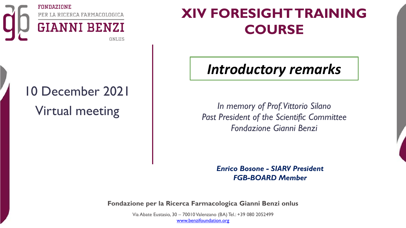

10 December 2021

### **XIV FORESIGHT TRAINING COURSE**

# *Introductory remarks*

Virtual meeting *In memory of Prof. Vittorio Silano Past President of the Scientific Committee Fondazione Gianni Benzi*

> *Enrico Bosone - SIARV President FGB-BOARD Member*

**Fondazione per la Ricerca Farmacologica Gianni Benzi onlus**

Via Abate Eustasio, 30 – 70010 Valenzano (BA) Tel.: +39 080 2052499 [www.benzifoundation.org](http://www.benzifoundation.org/)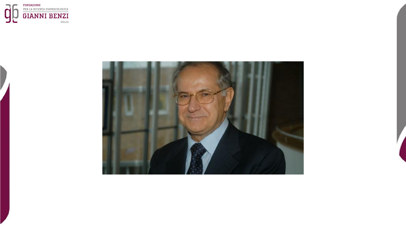



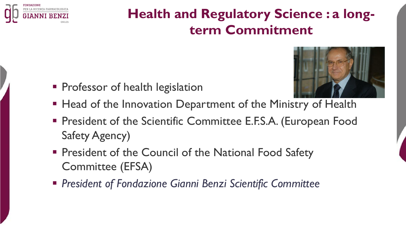

# **Health and Regulatory Science : a longterm Commitment**



- **Professor of health legislation**
- **Head of the Innovation Department of the Ministry of Health**
- **President of the Scientific Committee E.F.S.A. (European Food** Safety Agency)
- **President of the Council of the National Food Safety** Committee (EFSA)
- *President of Fondazione Gianni Benzi Scientific Committee*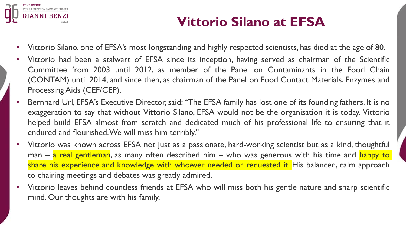

# **Vittorio Silano at EFSA**

- Vittorio Silano, one of EFSA's most longstanding and highly respected scientists, has died at the age of 80.
- Vittorio had been a stalwart of EFSA since its inception, having served as chairman of the Scientific Committee from 2003 until 2012, as member of the Panel on Contaminants in the Food Chain (CONTAM) until 2014, and since then, as chairman of the Panel on Food Contact Materials, Enzymes and Processing Aids (CEF/CEP).
- Bernhard Url, EFSA's Executive Director, said: "The EFSA family has lost one of its founding fathers. It is no exaggeration to say that without Vittorio Silano, EFSA would not be the organisation it is today. Vittorio helped build EFSA almost from scratch and dedicated much of his professional life to ensuring that it endured and flourished.We will miss him terribly."
- Vittorio was known across EFSA not just as a passionate, hard-working scientist but as a kind, thoughtful man –  $\alpha$  real gentleman, as many often described him – who was generous with his time and happy to share his experience and knowledge with whoever needed or requested it. His balanced, calm approach to chairing meetings and debates was greatly admired.
- Vittorio leaves behind countless friends at EFSA who will miss both his gentle nature and sharp scientific mind. Our thoughts are with his family.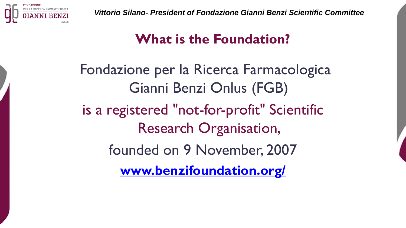

## **What is the Foundation?**

Fondazione per la Ricerca Farmacologica Gianni Benzi Onlus (FGB) is a registered "not-for-profit" Scientific Research Organisation, founded on 9 November, 2007 **[www.benzifoundation.org/](https://www.benzifoundation.org/)**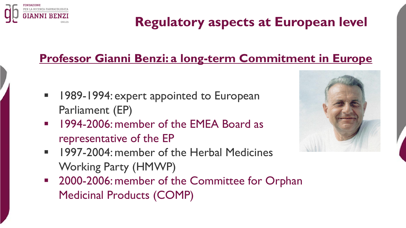

# **Regulatory aspects at European level**

### **Professor Gianni Benzi: a long-term Commitment in Europe**

- 1989-1994: expert appointed to European Parliament (EP)
- 1994-2006: member of the EMEA Board as representative of the EP
- 1997-2004: member of the Herbal Medicines Working Party (HMWP)
- 2000-2006: member of the Committee for Orphan Medicinal Products (COMP)

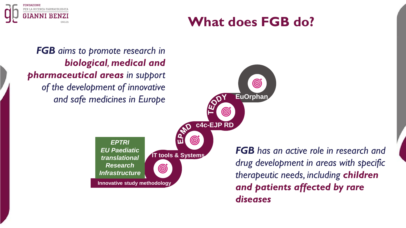

### **What does FGB do?**

**EuOrphan**

G

*FGB aims to promote research in biological, medical and pharmaceutical areas in support of the development of innovative and safe medicines in Europe*



*FGB has an active role in research and drug development in areas with specific therapeutic needs, including children and patients affected by rare diseases*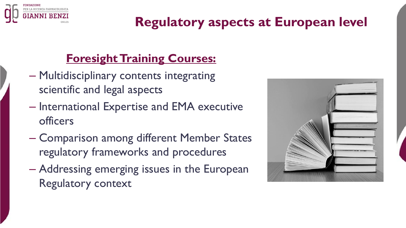

# **Regulatory aspects at European level**

## **Foresight Training Courses:**

- Multidisciplinary contents integrating scientific and legal aspects
- International Expertise and EMA executive officers
- Comparison among different Member States regulatory frameworks and procedures
- Addressing emerging issues in the European Regulatory context

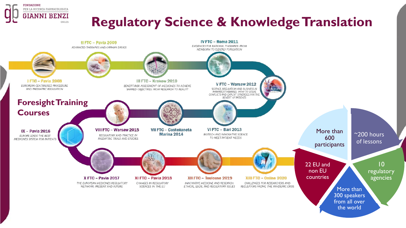## **Regulatory Science & Knowledge Translation**



**FONDAZIONE** 

PER LA RICERCA FARMACOLOGICA GIANNI BENZI

ONLUS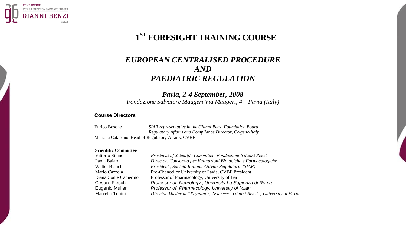

#### **1 ST FORESIGHT TRAINING COURSE**

#### *EUROPEAN CENTRALISED PROCEDURE AND PAEDIATRIC REGULATION*

#### *Pavia, 2-4 September, 2008 Fondazione Salvatore Maugeri Via Maugeri, 4 – Pavia (Italy)*

#### **Course Directors**

Enrico Bosone *SIAR representative in the Gianni Benzi Foundation Board Regulatory Affairs and Compliance Director, Celgene-Italy* Mariana Catapano Head of Regulatory Affairs, CVBF

#### **Scientific Committee**

Vittorio Silano *President of Scientific Committee Fondazione 'Gianni Benzi'* Paola Baiardi *Director, Consorzio per Valutazioni Biologiche e Farmacologiche* Walter Bianchi *President , Società Italiana Attività Regolatorie (SIAR)*  Mario Cazzola Pro-Chancellor University of Pavia, CVBF President Diana Conte Camerino Professor of Pharmacology, University of Bari Cesare Fieschi *Professor of Neurology , University La Sapienza di Roma* Eugenio Muller *Professor of Pharmacology, University of Milan* Marcello Tonini *Director Master in "Regulatory Sciences - Gianni Benzi", University of Pavia*